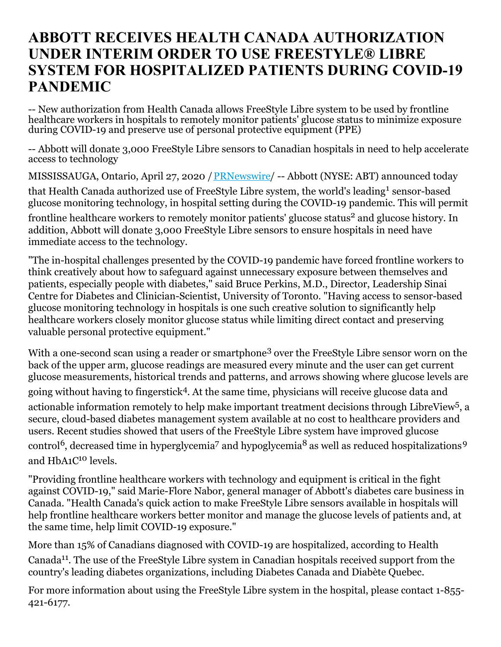## **ABBOTT RECEIVES HEALTH CANADA AUTHORIZATION UNDER INTERIM ORDER TO USE FREESTYLE® LIBRE SYSTEM FOR HOSPITALIZED PATIENTS DURING COVID-19 PANDEMIC**

-- New authorization from Health Canada allows FreeStyle Libre system to be used by frontline healthcare workers in hospitals to remotely monitor patients' glucose status to minimize exposure during COVID-19 and preserve use of personal protective equipment (PPE)

-- Abbott will donate 3,000 FreeStyle Libre sensors to Canadian hospitals in need to help accelerate access to technology

MISSISSAUGA, Ontario, April 27, 2020 / [PRNewswire](http://www.prnewswire.com/)/ -- Abbott (NYSE: ABT) announced today

that Health Canada authorized use of FreeStyle Libre system, the world's leading<sup>1</sup> sensor-based glucose monitoring technology, in hospital setting during the COVID-19 pandemic. This will permit

frontline healthcare workers to remotely monitor patients' glucose status<sup>2</sup> and glucose history. In addition, Abbott will donate 3,000 FreeStyle Libre sensors to ensure hospitals in need have immediate access to the technology.

"The in-hospital challenges presented by the COVID-19 pandemic have forced frontline workers to think creatively about how to safeguard against unnecessary exposure between themselves and patients, especially people with diabetes," said Bruce Perkins, M.D., Director, Leadership Sinai Centre for Diabetes and Clinician-Scientist, University of Toronto. "Having access to sensor-based glucose monitoring technology in hospitals is one such creative solution to significantly help healthcare workers closely monitor glucose status while limiting direct contact and preserving valuable personal protective equipment."

With a one-second scan using a reader or smartphone<sup>3</sup> over the FreeStyle Libre sensor worn on the back of the upper arm, glucose readings are measured every minute and the user can get current glucose measurements, historical trends and patterns, and arrows showing where glucose levels are going without having to fingerstick 4 . At the same time, physicians will receive glucose data and actionable information remotely to help make important treatment decisions through LibreView<sup>5</sup>, a secure, cloud-based diabetes management system available at no cost to healthcare providers and users. Recent studies showed that users of the FreeStyle Libre system have improved glucose control<sup>6</sup>, decreased time in hyperglycemia<sup>7</sup> and hypoglycemia<sup>8</sup> as well as reduced hospitalizations<sup>9</sup> and HbA1C<sup>10</sup> levels.

"Providing frontline healthcare workers with technology and equipment is critical in the fight against COVID-19," said Marie-Flore Nabor, general manager of Abbott's diabetes care business in Canada. "Health Canada's quick action to make FreeStyle Libre sensors available in hospitals will help frontline healthcare workers better monitor and manage the glucose levels of patients and, at the same time, help limit COVID-19 exposure."

More than 15% of Canadians diagnosed with COVID-19 are hospitalized, according to Health Canada<sup>11</sup>. The use of the FreeStyle Libre system in Canadian hospitals received support from the country's leading diabetes organizations, including Diabetes Canada and Diabète Quebec.

For more information about using the FreeStyle Libre system in the hospital, please contact 1-855- 421-6177.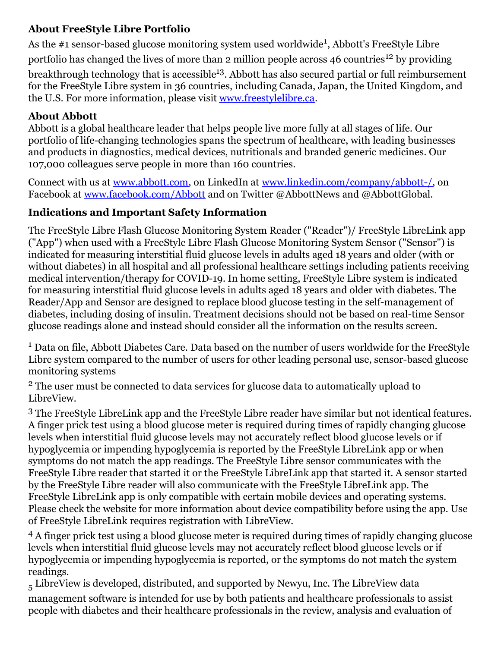## **About FreeStyle Libre Portfolio**

As the #1 sensor-based glucose monitoring system used worldwide<sup>1</sup>, Abbott's FreeStyle Libre portfolio has changed the lives of more than 2 million people across 46 countries<sup>12</sup> by providing

breakthrough technology that is accessible<sup>13</sup>. Abbott has also secured partial or full reimbursement for the FreeStyle Libre system in 36 countries, including Canada, Japan, the United Kingdom, and the U.S. For more information, please visit [www.freestylelibre.ca](https://c212.net/c/link/?t=0&l=en&o=2786763-1&h=624023241&u=http%3A%2F%2Fwww.freestylelibre.ca%2F&a=www.freestylelibre.ca).

## **About Abbott**

Abbott is a global healthcare leader that helps people live more fully at all stages of life. Our portfolio of life-changing technologies spans the spectrum of healthcare, with leading businesses and products in diagnostics, medical devices, nutritionals and branded generic medicines. Our 107,000 colleagues serve people in more than 160 countries.

Connect with us at [www.abbott.com](https://c212.net/c/link/?t=0&l=en&o=2786763-1&h=781190354&u=http%3A%2F%2Fwww.abbott.com%2F&a=www.abbott.com), on LinkedIn at [www.linkedin.com/company/abbott-/](https://c212.net/c/link/?t=0&l=en&o=2786763-1&h=356131126&u=http%3A%2F%2Fwww.linkedin.com%2Fcompany%2Fabbott-%2F&a=www.linkedin.com%2Fcompany%2Fabbott-%2F), on Facebook at [www.facebook.com/Abbott](https://c212.net/c/link/?t=0&l=en&o=2786763-1&h=839907301&u=http%3A%2F%2Fwww.facebook.com%2FAbbott&a=www.facebook.com%2FAbbott) and on Twitter @AbbottNews and @AbbottGlobal.

## **Indications and Important Safety Information**

The FreeStyle Libre Flash Glucose Monitoring System Reader ("Reader")/ FreeStyle LibreLink app ("App") when used with a FreeStyle Libre Flash Glucose Monitoring System Sensor ("Sensor") is indicated for measuring interstitial fluid glucose levels in adults aged 18 years and older (with or without diabetes) in all hospital and all professional healthcare settings including patients receiving medical intervention/therapy for COVID-19. In home setting, FreeStyle Libre system is indicated for measuring interstitial fluid glucose levels in adults aged 18 years and older with diabetes. The Reader/App and Sensor are designed to replace blood glucose testing in the self-management of diabetes, including dosing of insulin. Treatment decisions should not be based on real-time Sensor glucose readings alone and instead should consider all the information on the results screen.

<sup>1</sup> Data on file, Abbott Diabetes Care. Data based on the number of users worldwide for the FreeStyle Libre system compared to the number of users for other leading personal use, sensor-based glucose monitoring systems

<sup>2</sup> The user must be connected to data services for glucose data to automatically upload to LibreView.

<sup>3</sup> The FreeStyle LibreLink app and the FreeStyle Libre reader have similar but not identical features. A finger prick test using a blood glucose meter is required during times of rapidly changing glucose levels when interstitial fluid glucose levels may not accurately reflect blood glucose levels or if hypoglycemia or impending hypoglycemia is reported by the FreeStyle LibreLink app or when symptoms do not match the app readings. The FreeStyle Libre sensor communicates with the FreeStyle Libre reader that started it or the FreeStyle LibreLink app that started it. A sensor started by the FreeStyle Libre reader will also communicate with the FreeStyle LibreLink app. The FreeStyle LibreLink app is only compatible with certain mobile devices and operating systems. Please check the website for more information about device compatibility before using the app. Use of FreeStyle LibreLink requires registration with LibreView.

<sup>4</sup> A finger prick test using a blood glucose meter is required during times of rapidly changing glucose levels when interstitial fluid glucose levels may not accurately reflect blood glucose levels or if hypoglycemia or impending hypoglycemia is reported, or the symptoms do not match the system readings.

 $_5$  LibreView is developed, distributed, and supported by Newyu, Inc. The LibreView data management software is intended for use by both patients and healthcare professionals to assist people with diabetes and their healthcare professionals in the review, analysis and evaluation of